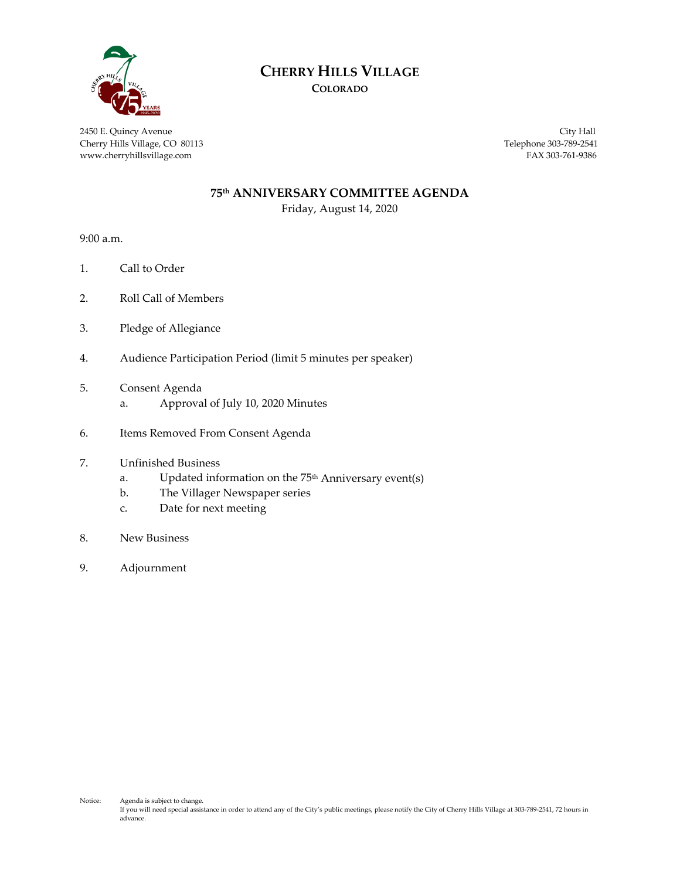

# **CHERRY HILLS VILLAGE**

**COLORADO**

2450 E. Quincy Avenue City Hall Cherry Hills Village, CO 80113 Telephone 303-789-2541 www.cherryhillsvillage.com FAX 303-761-9386

#### **75th ANNIVERSARY COMMITTEE AGENDA**

Friday, August 14, 2020

9:00 a.m.

- 1. Call to Order
- 2. Roll Call of Members
- 3. Pledge of Allegiance
- 4. Audience Participation Period (limit 5 minutes per speaker)
- 5. Consent Agenda
	- a. Approval of July 10, 2020 Minutes
- 6. Items Removed From Consent Agenda
- 7. Unfinished Business
	- a. Updated information on the  $75<sup>th</sup>$  Anniversary event(s)
	- b. The Villager Newspaper series
	- c. Date for next meeting
- 8. New Business
- 9. Adjournment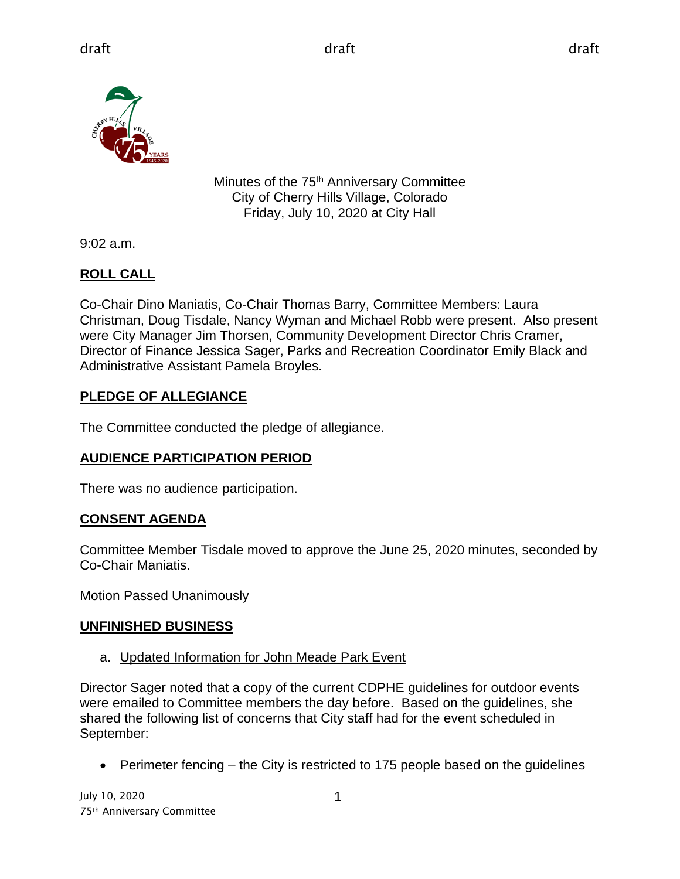

Minutes of the 75<sup>th</sup> Anniversary Committee City of Cherry Hills Village, Colorado Friday, July 10, 2020 at City Hall

9:02 a.m.

# **ROLL CALL**

Co-Chair Dino Maniatis, Co-Chair Thomas Barry, Committee Members: Laura Christman, Doug Tisdale, Nancy Wyman and Michael Robb were present. Also present were City Manager Jim Thorsen, Community Development Director Chris Cramer, Director of Finance Jessica Sager, Parks and Recreation Coordinator Emily Black and Administrative Assistant Pamela Broyles.

# **PLEDGE OF ALLEGIANCE**

The Committee conducted the pledge of allegiance.

### **AUDIENCE PARTICIPATION PERIOD**

There was no audience participation.

# **CONSENT AGENDA**

Committee Member Tisdale moved to approve the June 25, 2020 minutes, seconded by Co-Chair Maniatis.

Motion Passed Unanimously

### **UNFINISHED BUSINESS**

a. Updated Information for John Meade Park Event

Director Sager noted that a copy of the current CDPHE guidelines for outdoor events were emailed to Committee members the day before. Based on the guidelines, she shared the following list of concerns that City staff had for the event scheduled in September:

• Perimeter fencing – the City is restricted to 175 people based on the guidelines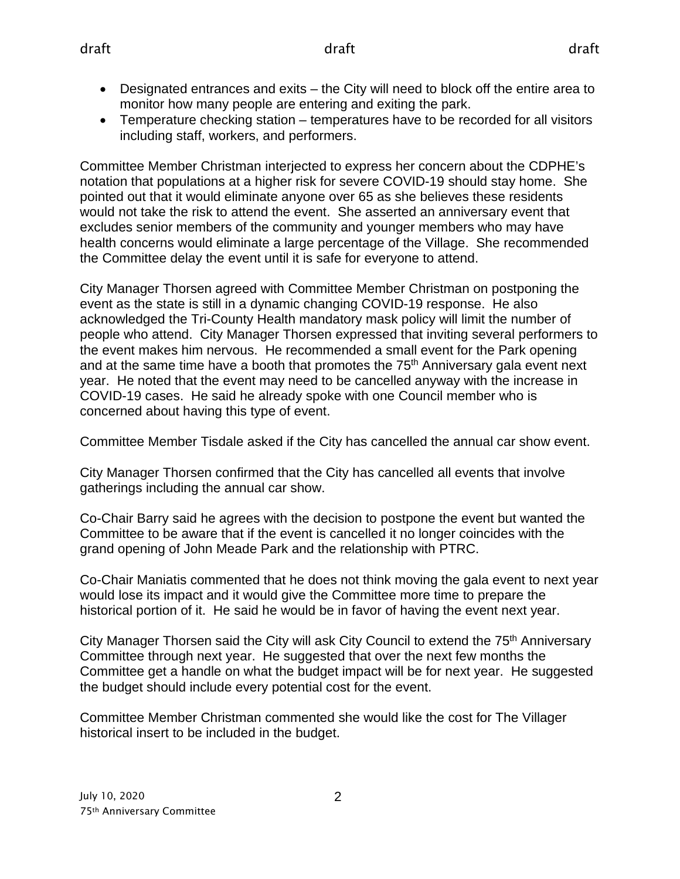- Designated entrances and exits the City will need to block off the entire area to monitor how many people are entering and exiting the park.
- Temperature checking station temperatures have to be recorded for all visitors including staff, workers, and performers.

Committee Member Christman interjected to express her concern about the CDPHE's notation that populations at a higher risk for severe COVID-19 should stay home. She pointed out that it would eliminate anyone over 65 as she believes these residents would not take the risk to attend the event. She asserted an anniversary event that excludes senior members of the community and younger members who may have health concerns would eliminate a large percentage of the Village. She recommended the Committee delay the event until it is safe for everyone to attend.

City Manager Thorsen agreed with Committee Member Christman on postponing the event as the state is still in a dynamic changing COVID-19 response. He also acknowledged the Tri-County Health mandatory mask policy will limit the number of people who attend. City Manager Thorsen expressed that inviting several performers to the event makes him nervous. He recommended a small event for the Park opening and at the same time have a booth that promotes the 75<sup>th</sup> Anniversary gala event next year. He noted that the event may need to be cancelled anyway with the increase in COVID-19 cases. He said he already spoke with one Council member who is concerned about having this type of event.

Committee Member Tisdale asked if the City has cancelled the annual car show event.

City Manager Thorsen confirmed that the City has cancelled all events that involve gatherings including the annual car show.

Co-Chair Barry said he agrees with the decision to postpone the event but wanted the Committee to be aware that if the event is cancelled it no longer coincides with the grand opening of John Meade Park and the relationship with PTRC.

Co-Chair Maniatis commented that he does not think moving the gala event to next year would lose its impact and it would give the Committee more time to prepare the historical portion of it. He said he would be in favor of having the event next year.

City Manager Thorsen said the City will ask City Council to extend the 75<sup>th</sup> Anniversary Committee through next year. He suggested that over the next few months the Committee get a handle on what the budget impact will be for next year. He suggested the budget should include every potential cost for the event.

Committee Member Christman commented she would like the cost for The Villager historical insert to be included in the budget.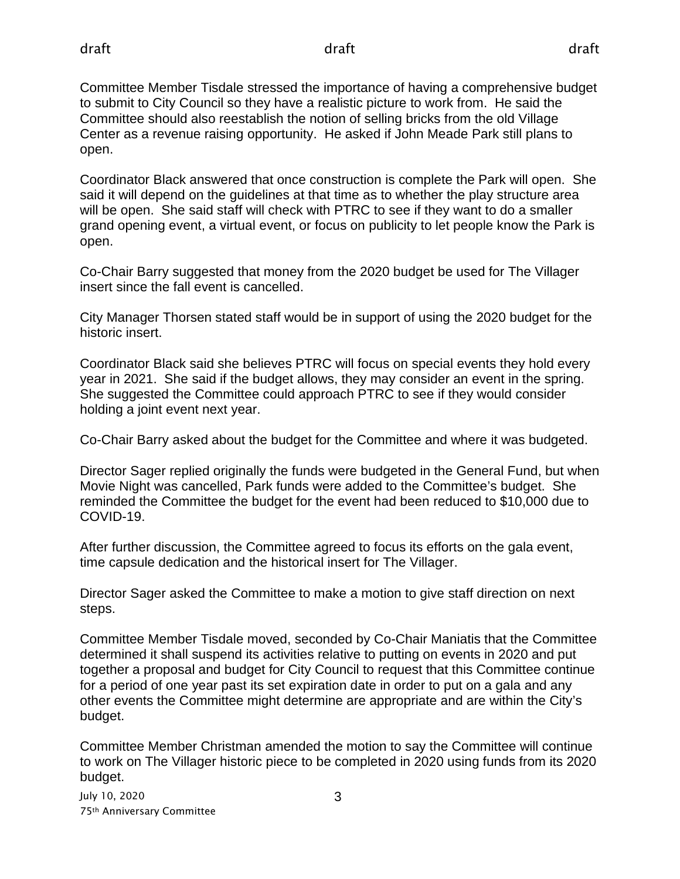Committee Member Tisdale stressed the importance of having a comprehensive budget to submit to City Council so they have a realistic picture to work from. He said the Committee should also reestablish the notion of selling bricks from the old Village Center as a revenue raising opportunity. He asked if John Meade Park still plans to open.

Coordinator Black answered that once construction is complete the Park will open. She said it will depend on the guidelines at that time as to whether the play structure area will be open. She said staff will check with PTRC to see if they want to do a smaller grand opening event, a virtual event, or focus on publicity to let people know the Park is open.

Co-Chair Barry suggested that money from the 2020 budget be used for The Villager insert since the fall event is cancelled.

City Manager Thorsen stated staff would be in support of using the 2020 budget for the historic insert.

Coordinator Black said she believes PTRC will focus on special events they hold every year in 2021. She said if the budget allows, they may consider an event in the spring. She suggested the Committee could approach PTRC to see if they would consider holding a joint event next year.

Co-Chair Barry asked about the budget for the Committee and where it was budgeted.

Director Sager replied originally the funds were budgeted in the General Fund, but when Movie Night was cancelled, Park funds were added to the Committee's budget. She reminded the Committee the budget for the event had been reduced to \$10,000 due to COVID-19.

After further discussion, the Committee agreed to focus its efforts on the gala event, time capsule dedication and the historical insert for The Villager.

Director Sager asked the Committee to make a motion to give staff direction on next steps.

Committee Member Tisdale moved, seconded by Co-Chair Maniatis that the Committee determined it shall suspend its activities relative to putting on events in 2020 and put together a proposal and budget for City Council to request that this Committee continue for a period of one year past its set expiration date in order to put on a gala and any other events the Committee might determine are appropriate and are within the City's budget.

Committee Member Christman amended the motion to say the Committee will continue to work on The Villager historic piece to be completed in 2020 using funds from its 2020 budget.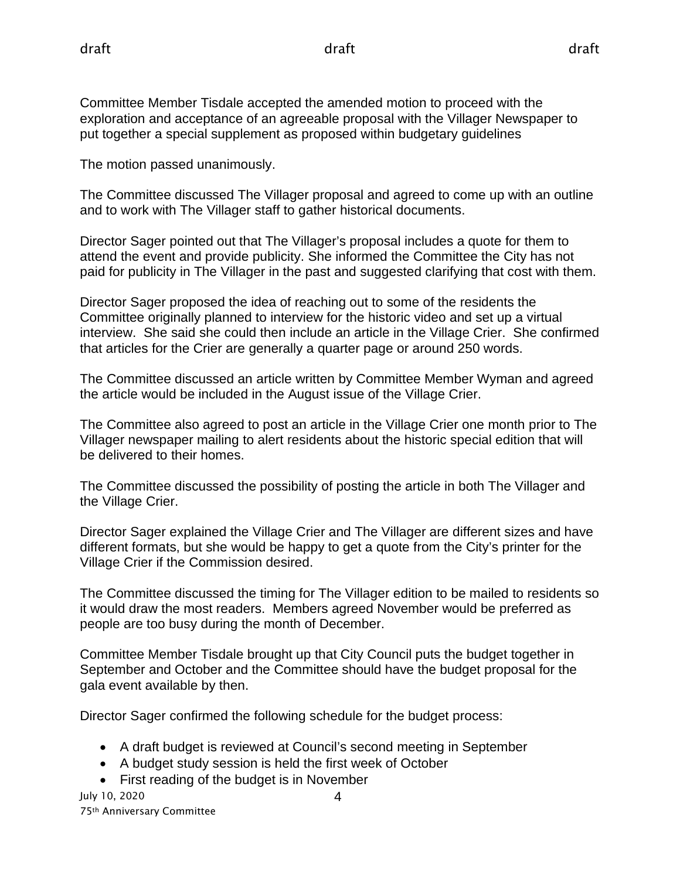Committee Member Tisdale accepted the amended motion to proceed with the exploration and acceptance of an agreeable proposal with the Villager Newspaper to put together a special supplement as proposed within budgetary guidelines

The motion passed unanimously.

The Committee discussed The Villager proposal and agreed to come up with an outline and to work with The Villager staff to gather historical documents.

Director Sager pointed out that The Villager's proposal includes a quote for them to attend the event and provide publicity. She informed the Committee the City has not paid for publicity in The Villager in the past and suggested clarifying that cost with them.

Director Sager proposed the idea of reaching out to some of the residents the Committee originally planned to interview for the historic video and set up a virtual interview. She said she could then include an article in the Village Crier. She confirmed that articles for the Crier are generally a quarter page or around 250 words.

The Committee discussed an article written by Committee Member Wyman and agreed the article would be included in the August issue of the Village Crier.

The Committee also agreed to post an article in the Village Crier one month prior to The Villager newspaper mailing to alert residents about the historic special edition that will be delivered to their homes.

The Committee discussed the possibility of posting the article in both The Villager and the Village Crier.

Director Sager explained the Village Crier and The Villager are different sizes and have different formats, but she would be happy to get a quote from the City's printer for the Village Crier if the Commission desired.

The Committee discussed the timing for The Villager edition to be mailed to residents so it would draw the most readers. Members agreed November would be preferred as people are too busy during the month of December.

Committee Member Tisdale brought up that City Council puts the budget together in September and October and the Committee should have the budget proposal for the gala event available by then.

Director Sager confirmed the following schedule for the budget process:

- A draft budget is reviewed at Council's second meeting in September
- A budget study session is held the first week of October
- First reading of the budget is in November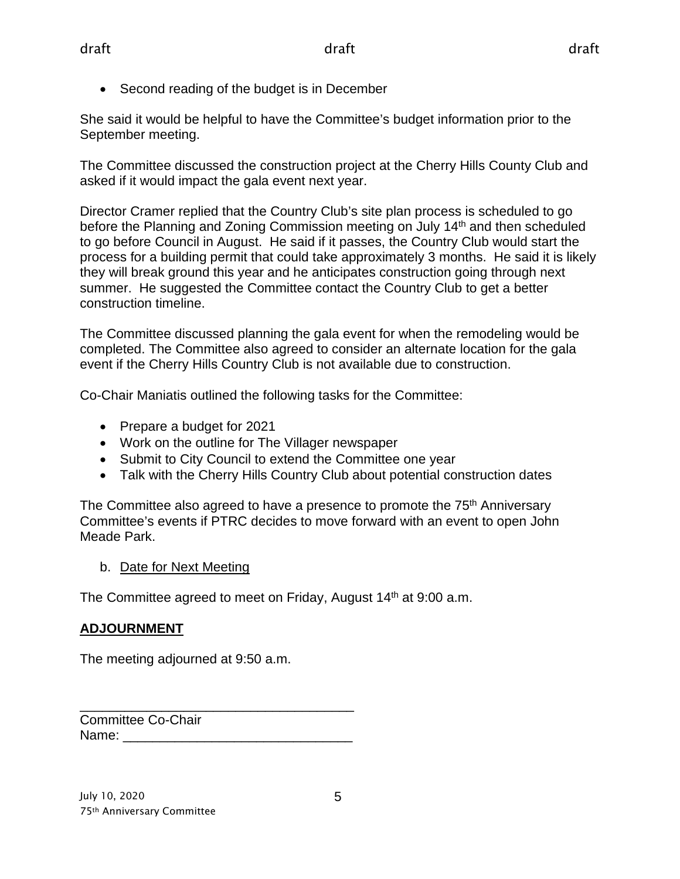• Second reading of the budget is in December

She said it would be helpful to have the Committee's budget information prior to the September meeting.

The Committee discussed the construction project at the Cherry Hills County Club and asked if it would impact the gala event next year.

Director Cramer replied that the Country Club's site plan process is scheduled to go before the Planning and Zoning Commission meeting on July 14<sup>th</sup> and then scheduled to go before Council in August. He said if it passes, the Country Club would start the process for a building permit that could take approximately 3 months. He said it is likely they will break ground this year and he anticipates construction going through next summer. He suggested the Committee contact the Country Club to get a better construction timeline.

The Committee discussed planning the gala event for when the remodeling would be completed. The Committee also agreed to consider an alternate location for the gala event if the Cherry Hills Country Club is not available due to construction.

Co-Chair Maniatis outlined the following tasks for the Committee:

- Prepare a budget for 2021
- Work on the outline for The Villager newspaper
- Submit to City Council to extend the Committee one year
- Talk with the Cherry Hills Country Club about potential construction dates

The Committee also agreed to have a presence to promote the 75<sup>th</sup> Anniversary Committee's events if PTRC decides to move forward with an event to open John Meade Park.

b. Date for Next Meeting

The Committee agreed to meet on Friday, August 14<sup>th</sup> at 9:00 a.m.

### **ADJOURNMENT**

The meeting adjourned at 9:50 a.m.

| <b>Committee Co-Chair</b> |  |
|---------------------------|--|
| Name:                     |  |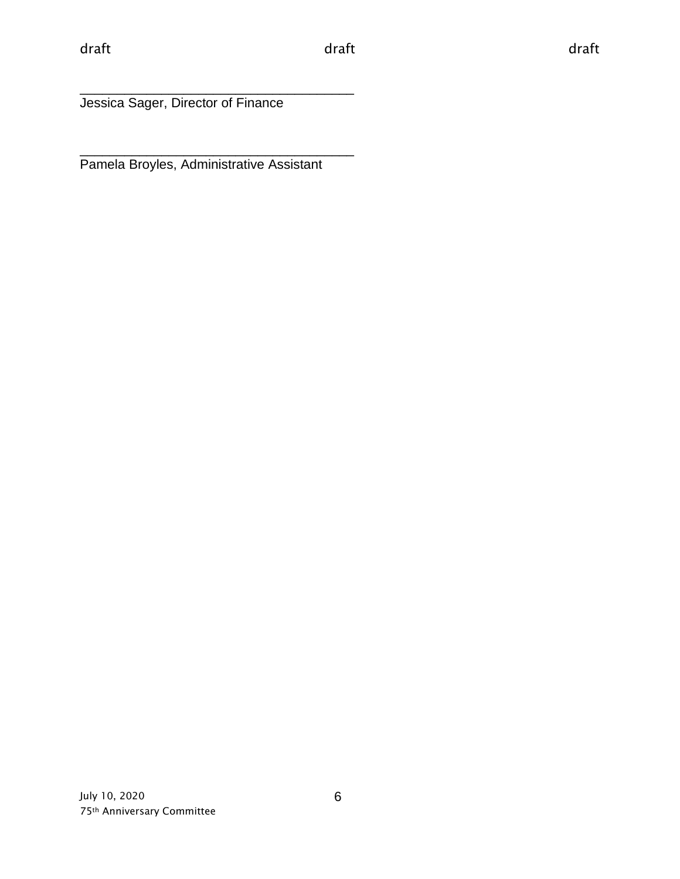\_\_\_\_\_\_\_\_\_\_\_\_\_\_\_\_\_\_\_\_\_\_\_\_\_\_\_\_\_\_\_\_\_\_\_\_\_ Jessica Sager, Director of Finance

\_\_\_\_\_\_\_\_\_\_\_\_\_\_\_\_\_\_\_\_\_\_\_\_\_\_\_\_\_\_\_\_\_\_\_\_\_ Pamela Broyles, Administrative Assistant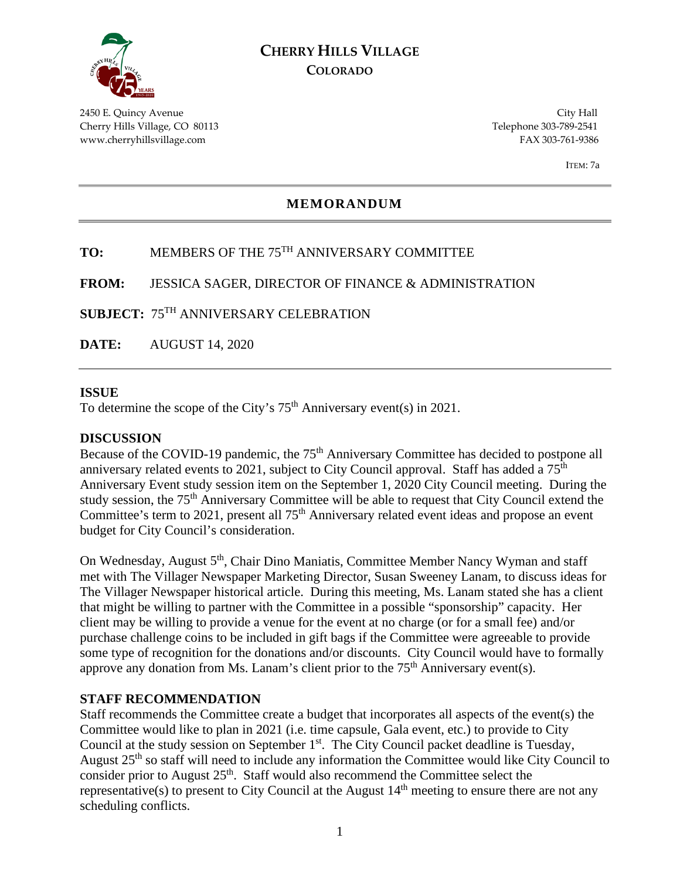

### **CHERRY HILLS VILLAGE COLORADO**

2450 E. Quincy Avenue City Hall Cherry Hills Village, CO 80113 Telephone 303-789-2541 www.cherryhillsvillage.com FAX 303-761-9386

ITEM: 7a

#### **MEMORANDUM**

### **TO:** MEMBERS OF THE 75TH ANNIVERSARY COMMITTEE

**FROM:** JESSICA SAGER, DIRECTOR OF FINANCE & ADMINISTRATION

**SUBJECT:** 75TH ANNIVERSARY CELEBRATION

**DATE:** AUGUST 14, 2020

#### **ISSUE**

To determine the scope of the City's  $75<sup>th</sup>$  Anniversary event(s) in 2021.

#### **DISCUSSION**

Because of the COVID-19 pandemic, the 75<sup>th</sup> Anniversary Committee has decided to postpone all anniversary related events to 2021, subject to City Council approval. Staff has added a 75<sup>th</sup> Anniversary Event study session item on the September 1, 2020 City Council meeting. During the study session, the 75<sup>th</sup> Anniversary Committee will be able to request that City Council extend the Committee's term to 2021, present all 75<sup>th</sup> Anniversary related event ideas and propose an event budget for City Council's consideration.

On Wednesday, August 5<sup>th</sup>, Chair Dino Maniatis, Committee Member Nancy Wyman and staff met with The Villager Newspaper Marketing Director, Susan Sweeney Lanam, to discuss ideas for The Villager Newspaper historical article. During this meeting, Ms. Lanam stated she has a client that might be willing to partner with the Committee in a possible "sponsorship" capacity. Her client may be willing to provide a venue for the event at no charge (or for a small fee) and/or purchase challenge coins to be included in gift bags if the Committee were agreeable to provide some type of recognition for the donations and/or discounts. City Council would have to formally approve any donation from Ms. Lanam's client prior to the  $75<sup>th</sup>$  Anniversary event(s).

#### **STAFF RECOMMENDATION**

Staff recommends the Committee create a budget that incorporates all aspects of the event(s) the Committee would like to plan in 2021 (i.e. time capsule, Gala event, etc.) to provide to City Council at the study session on September  $1<sup>st</sup>$ . The City Council packet deadline is Tuesday, August  $25<sup>th</sup>$  so staff will need to include any information the Committee would like City Council to consider prior to August  $25<sup>th</sup>$ . Staff would also recommend the Committee select the representative(s) to present to City Council at the August  $14<sup>th</sup>$  meeting to ensure there are not any scheduling conflicts.